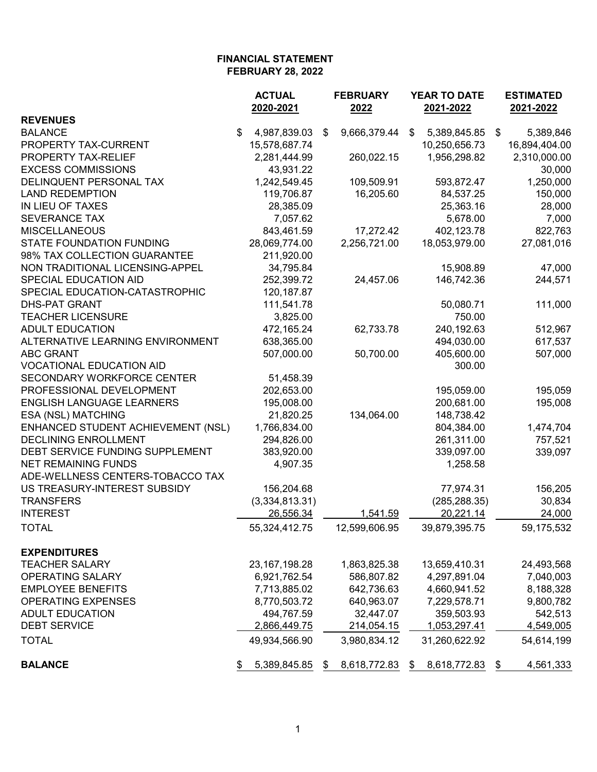|                                    | <b>ACTUAL</b> |                  | <b>FEBRUARY</b>    |    | YEAR TO DATE    |      | <b>ESTIMATED</b> |
|------------------------------------|---------------|------------------|--------------------|----|-----------------|------|------------------|
|                                    |               | 2020-2021        | 2022               |    | 2021-2022       |      | 2021-2022        |
| <b>REVENUES</b>                    |               |                  |                    |    |                 |      |                  |
| <b>BALANCE</b>                     | \$            | 4,987,839.03     | \$<br>9,666,379.44 | \$ | 5,389,845.85    | - \$ | 5,389,846        |
| PROPERTY TAX-CURRENT               |               | 15,578,687.74    |                    |    | 10,250,656.73   |      | 16,894,404.00    |
| PROPERTY TAX-RELIEF                |               | 2,281,444.99     | 260,022.15         |    | 1,956,298.82    |      | 2,310,000.00     |
| <b>EXCESS COMMISSIONS</b>          |               | 43,931.22        |                    |    |                 |      | 30,000           |
| DELINQUENT PERSONAL TAX            |               | 1,242,549.45     | 109,509.91         |    | 593,872.47      |      | 1,250,000        |
| <b>LAND REDEMPTION</b>             |               | 119,706.87       | 16,205.60          |    | 84,537.25       |      | 150,000          |
| IN LIEU OF TAXES                   |               | 28,385.09        |                    |    | 25,363.16       |      | 28,000           |
| <b>SEVERANCE TAX</b>               |               | 7,057.62         |                    |    | 5,678.00        |      | 7,000            |
| <b>MISCELLANEOUS</b>               |               | 843,461.59       | 17,272.42          |    | 402,123.78      |      | 822,763          |
| <b>STATE FOUNDATION FUNDING</b>    |               | 28,069,774.00    | 2,256,721.00       |    | 18,053,979.00   |      | 27,081,016       |
| 98% TAX COLLECTION GUARANTEE       |               | 211,920.00       |                    |    |                 |      |                  |
| NON TRADITIONAL LICENSING-APPEL    |               | 34,795.84        |                    |    | 15,908.89       |      | 47,000           |
| SPECIAL EDUCATION AID              |               | 252,399.72       | 24,457.06          |    | 146,742.36      |      | 244,571          |
| SPECIAL EDUCATION-CATASTROPHIC     |               | 120, 187.87      |                    |    |                 |      |                  |
| <b>DHS-PAT GRANT</b>               |               | 111,541.78       |                    |    | 50,080.71       |      | 111,000          |
| <b>TEACHER LICENSURE</b>           |               | 3,825.00         |                    |    | 750.00          |      |                  |
| <b>ADULT EDUCATION</b>             |               | 472,165.24       | 62,733.78          |    | 240, 192.63     |      | 512,967          |
| ALTERNATIVE LEARNING ENVIRONMENT   |               | 638,365.00       |                    |    | 494,030.00      |      | 617,537          |
| <b>ABC GRANT</b>                   |               | 507,000.00       | 50,700.00          |    | 405,600.00      |      | 507,000          |
| <b>VOCATIONAL EDUCATION AID</b>    |               |                  |                    |    | 300.00          |      |                  |
| SECONDARY WORKFORCE CENTER         |               | 51,458.39        |                    |    |                 |      |                  |
| PROFESSIONAL DEVELOPMENT           |               | 202,653.00       |                    |    | 195,059.00      |      | 195,059          |
| <b>ENGLISH LANGUAGE LEARNERS</b>   |               | 195,008.00       |                    |    | 200,681.00      |      | 195,008          |
| ESA (NSL) MATCHING                 |               | 21,820.25        | 134,064.00         |    | 148,738.42      |      |                  |
| ENHANCED STUDENT ACHIEVEMENT (NSL) |               | 1,766,834.00     |                    |    | 804,384.00      |      | 1,474,704        |
| <b>DECLINING ENROLLMENT</b>        |               | 294,826.00       |                    |    | 261,311.00      |      | 757,521          |
| DEBT SERVICE FUNDING SUPPLEMENT    |               | 383,920.00       |                    |    | 339,097.00      |      | 339,097          |
| <b>NET REMAINING FUNDS</b>         |               | 4,907.35         |                    |    | 1,258.58        |      |                  |
| ADE-WELLNESS CENTERS-TOBACCO TAX   |               |                  |                    |    |                 |      |                  |
| US TREASURY-INTEREST SUBSIDY       |               | 156,204.68       |                    |    | 77,974.31       |      | 156,205          |
| <b>TRANSFERS</b>                   |               | (3,334,813.31)   |                    |    | (285, 288.35)   |      | 30,834           |
| <b>INTEREST</b>                    |               | 26,556.34        | 1,541.59           |    | 20,221.14       |      | 24,000           |
| <b>TOTAL</b>                       |               | 55,324,412.75    | 12,599,606.95      |    | 39,879,395.75   |      | 59,175,532       |
|                                    |               |                  |                    |    |                 |      |                  |
| <b>EXPENDITURES</b>                |               |                  |                    |    |                 |      |                  |
| <b>TEACHER SALARY</b>              |               | 23, 167, 198. 28 | 1,863,825.38       |    | 13,659,410.31   |      | 24,493,568       |
| OPERATING SALARY                   |               | 6,921,762.54     | 586,807.82         |    | 4,297,891.04    |      | 7,040,003        |
| <b>EMPLOYEE BENEFITS</b>           |               | 7,713,885.02     | 642,736.63         |    | 4,660,941.52    |      | 8,188,328        |
| <b>OPERATING EXPENSES</b>          |               | 8,770,503.72     | 640,963.07         |    | 7,229,578.71    |      | 9,800,782        |
| <b>ADULT EDUCATION</b>             |               | 494,767.59       | 32,447.07          |    | 359,503.93      |      | 542,513          |
| <b>DEBT SERVICE</b>                |               |                  |                    |    | 1,053,297.41    |      |                  |
|                                    |               | 2,866,449.75     | 214,054.15         |    |                 |      | 4,549,005        |
| <b>TOTAL</b>                       |               | 49,934,566.90    | 3,980,834.12       |    | 31,260,622.92   |      | 54,614,199       |
| <b>BALANCE</b>                     |               | 5,389,845.85     | \$<br>8,618,772.83 |    | \$ 8,618,772.83 |      | 4,561,333        |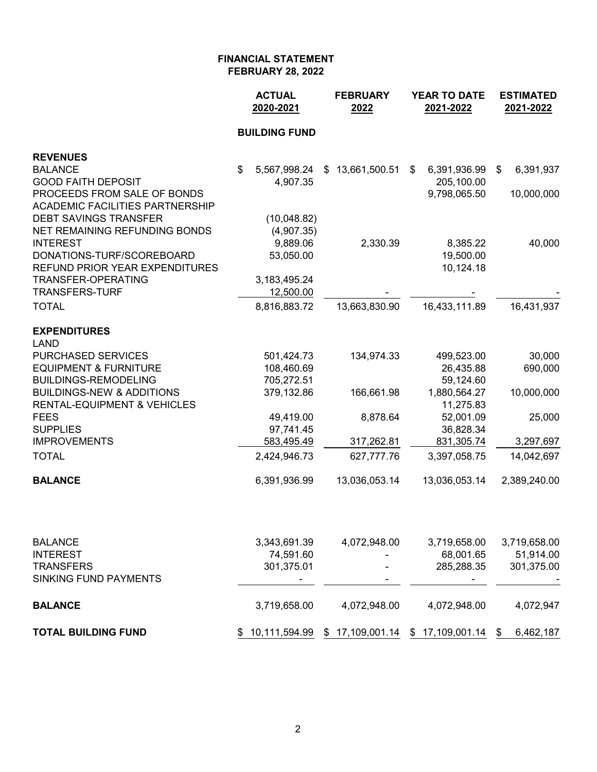|                                        | <b>ACTUAL</b><br>2020-2021 | <b>FEBRUARY</b><br>2022 | <b>YEAR TO DATE</b><br>2021-2022 | <b>ESTIMATED</b><br>2021-2022 |
|----------------------------------------|----------------------------|-------------------------|----------------------------------|-------------------------------|
|                                        | <b>BUILDING FUND</b>       |                         |                                  |                               |
| <b>REVENUES</b>                        |                            |                         |                                  |                               |
| <b>BALANCE</b>                         | \$<br>5,567,998.24         | 13,661,500.51<br>\$     | 6,391,936.99<br>\$               | 6,391,937<br>$\frac{1}{2}$    |
| <b>GOOD FAITH DEPOSIT</b>              | 4,907.35                   |                         | 205,100.00                       |                               |
| PROCEEDS FROM SALE OF BONDS            |                            |                         | 9,798,065.50                     | 10,000,000                    |
| <b>ACADEMIC FACILITIES PARTNERSHIP</b> |                            |                         |                                  |                               |
| <b>DEBT SAVINGS TRANSFER</b>           | (10,048.82)                |                         |                                  |                               |
| NET REMAINING REFUNDING BONDS          | (4,907.35)                 |                         |                                  |                               |
| <b>INTEREST</b>                        | 9,889.06                   | 2,330.39                | 8,385.22                         | 40,000                        |
| DONATIONS-TURF/SCOREBOARD              | 53,050.00                  |                         | 19,500.00                        |                               |
| REFUND PRIOR YEAR EXPENDITURES         |                            |                         | 10,124.18                        |                               |
| <b>TRANSFER-OPERATING</b>              | 3,183,495.24               |                         |                                  |                               |
| <b>TRANSFERS-TURF</b>                  | 12,500.00                  |                         |                                  |                               |
| <b>TOTAL</b>                           | 8,816,883.72               | 13,663,830.90           | 16,433,111.89                    | 16,431,937                    |
| <b>EXPENDITURES</b>                    |                            |                         |                                  |                               |
| <b>LAND</b>                            |                            |                         |                                  |                               |
| PURCHASED SERVICES                     | 501,424.73                 | 134,974.33              | 499,523.00                       | 30,000                        |
| <b>EQUIPMENT &amp; FURNITURE</b>       | 108,460.69                 |                         | 26,435.88                        | 690,000                       |
| <b>BUILDINGS-REMODELING</b>            | 705,272.51                 |                         | 59,124.60                        |                               |
| <b>BUILDINGS-NEW &amp; ADDITIONS</b>   | 379,132.86                 | 166,661.98              | 1,880,564.27                     | 10,000,000                    |
| <b>RENTAL-EQUIPMENT &amp; VEHICLES</b> |                            |                         | 11,275.83                        |                               |
| <b>FEES</b>                            | 49,419.00                  | 8,878.64                | 52,001.09                        | 25,000                        |
| <b>SUPPLIES</b>                        | 97,741.45                  |                         | 36,828.34                        |                               |
| <b>IMPROVEMENTS</b>                    | 583,495.49                 | 317,262.81              | 831,305.74                       | 3,297,697                     |
| <b>TOTAL</b>                           | 2,424,946.73               | 627,777.76              | 3,397,058.75                     | 14,042,697                    |
| <b>BALANCE</b>                         | 6,391,936.99               | 13,036,053.14           | 13,036,053.14                    | 2,389,240.00                  |
|                                        |                            |                         |                                  |                               |
| <b>BALANCE</b>                         | 3,343,691.39               | 4,072,948.00            | 3,719,658.00                     | 3,719,658.00                  |
| <b>INTEREST</b>                        | 74,591.60                  |                         | 68,001.65                        | 51,914.00                     |
| <b>TRANSFERS</b>                       | 301,375.01                 |                         | 285,288.35                       | 301,375.00                    |
| <b>SINKING FUND PAYMENTS</b>           |                            |                         |                                  |                               |
| <b>BALANCE</b>                         | 3,719,658.00               | 4,072,948.00            | 4,072,948.00                     | 4,072,947                     |
| <b>TOTAL BUILDING FUND</b>             | \$10,111,594.99            | \$17,109,001.14         | \$17,109,001.14                  | \$<br>6,462,187               |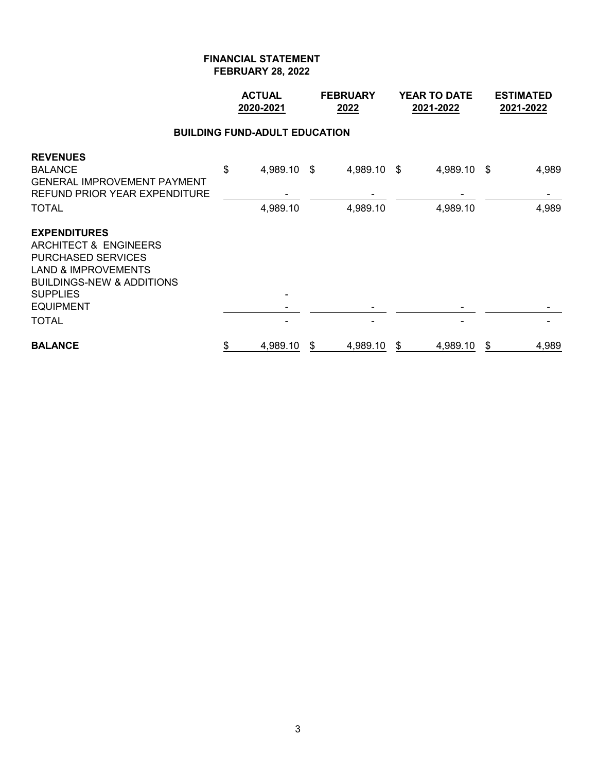|                                                                                                                                                                                                            | <b>ACTUAL</b><br>2020-2021           | <b>FEBRUARY</b><br>2022 |    | <b>YEAR TO DATE</b><br>2021-2022 |    | <b>ESTIMATED</b><br>2021-2022 |
|------------------------------------------------------------------------------------------------------------------------------------------------------------------------------------------------------------|--------------------------------------|-------------------------|----|----------------------------------|----|-------------------------------|
|                                                                                                                                                                                                            | <b>BUILDING FUND-ADULT EDUCATION</b> |                         |    |                                  |    |                               |
| <b>REVENUES</b><br><b>BALANCE</b><br><b>GENERAL IMPROVEMENT PAYMENT</b><br><b>REFUND PRIOR YEAR EXPENDITURE</b><br><b>TOTAL</b>                                                                            | \$<br>4,989.10 \$<br>4,989.10        | 4,989.10 \$<br>4,989.10 |    | 4,989.10 \$<br>4,989.10          |    | 4,989<br>4,989                |
| <b>EXPENDITURES</b><br>ARCHITECT & ENGINEERS<br><b>PURCHASED SERVICES</b><br><b>LAND &amp; IMPROVEMENTS</b><br><b>BUILDINGS-NEW &amp; ADDITIONS</b><br><b>SUPPLIES</b><br><b>EQUIPMENT</b><br><b>TOTAL</b> |                                      |                         |    |                                  |    |                               |
| <b>BALANCE</b>                                                                                                                                                                                             | \$<br>4,989.10                       | \$<br>4,989.10          | \$ | 4,989.10                         | \$ | 4,989                         |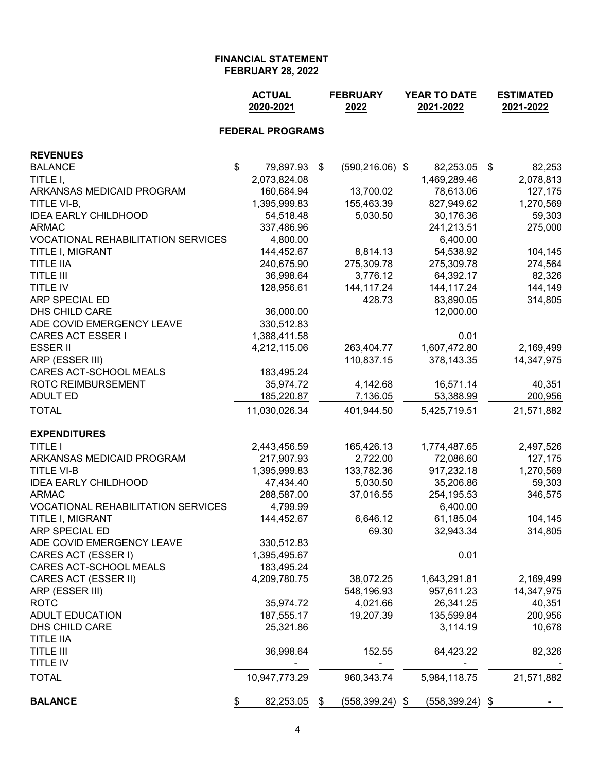|                                           | <b>ACTUAL</b><br>2020-2021           | <b>FEBRUARY</b><br>2022 | <b>YEAR TO DATE</b><br>2021-2022 |  |                    | <b>ESTIMATED</b><br>2021-2022 |            |
|-------------------------------------------|--------------------------------------|-------------------------|----------------------------------|--|--------------------|-------------------------------|------------|
|                                           | <b>FEDERAL PROGRAMS</b>              |                         |                                  |  |                    |                               |            |
| <b>REVENUES</b>                           |                                      |                         |                                  |  |                    |                               |            |
| <b>BALANCE</b>                            | $\sqrt[6]{\frac{1}{2}}$<br>79,897.93 | \$                      | $(590, 216.06)$ \$               |  | 82,253.05          | \$                            | 82,253     |
| TITLE I,                                  | 2,073,824.08                         |                         |                                  |  | 1,469,289.46       |                               | 2,078,813  |
| ARKANSAS MEDICAID PROGRAM                 | 160,684.94                           |                         | 13,700.02                        |  | 78,613.06          |                               | 127,175    |
| TITLE VI-B,                               | 1,395,999.83                         |                         | 155,463.39                       |  | 827,949.62         |                               | 1,270,569  |
| <b>IDEA EARLY CHILDHOOD</b>               | 54,518.48                            |                         | 5,030.50                         |  | 30,176.36          |                               | 59,303     |
| <b>ARMAC</b>                              | 337,486.96                           |                         |                                  |  | 241,213.51         |                               | 275,000    |
| <b>VOCATIONAL REHABILITATION SERVICES</b> | 4,800.00                             |                         |                                  |  | 6,400.00           |                               |            |
| TITLE I, MIGRANT                          | 144,452.67                           |                         | 8,814.13                         |  | 54,538.92          |                               | 104,145    |
| <b>TITLE IIA</b>                          | 240,675.90                           |                         | 275,309.78                       |  | 275,309.78         |                               | 274,564    |
| <b>TITLE III</b>                          | 36,998.64                            |                         | 3,776.12                         |  | 64,392.17          |                               | 82,326     |
| TITLE IV                                  | 128,956.61                           |                         | 144,117.24                       |  | 144, 117. 24       |                               | 144,149    |
| ARP SPECIAL ED                            |                                      |                         | 428.73                           |  | 83,890.05          |                               | 314,805    |
| DHS CHILD CARE                            | 36,000.00                            |                         |                                  |  | 12,000.00          |                               |            |
| ADE COVID EMERGENCY LEAVE                 | 330,512.83                           |                         |                                  |  |                    |                               |            |
| <b>CARES ACT ESSER I</b>                  | 1,388,411.58                         |                         |                                  |  | 0.01               |                               |            |
| <b>ESSER II</b>                           | 4,212,115.06                         |                         | 263,404.77                       |  | 1,607,472.80       |                               | 2,169,499  |
| ARP (ESSER III)                           |                                      |                         | 110,837.15                       |  | 378,143.35         |                               | 14,347,975 |
| CARES ACT-SCHOOL MEALS                    | 183,495.24                           |                         |                                  |  |                    |                               |            |
| ROTC REIMBURSEMENT                        | 35,974.72                            |                         | 4,142.68                         |  | 16,571.14          |                               | 40,351     |
| <b>ADULT ED</b>                           | 185,220.87                           |                         | 7,136.05                         |  | 53,388.99          |                               | 200,956    |
| <b>TOTAL</b>                              | 11,030,026.34                        |                         | 401,944.50                       |  | 5,425,719.51       |                               | 21,571,882 |
| <b>EXPENDITURES</b>                       |                                      |                         |                                  |  |                    |                               |            |
| <b>TITLE I</b>                            | 2,443,456.59                         |                         | 165,426.13                       |  | 1,774,487.65       |                               | 2,497,526  |
| ARKANSAS MEDICAID PROGRAM                 | 217,907.93                           |                         | 2,722.00                         |  | 72,086.60          |                               | 127,175    |
| <b>TITLE VI-B</b>                         | 1,395,999.83                         |                         | 133,782.36                       |  | 917,232.18         |                               | 1,270,569  |
| <b>IDEA EARLY CHILDHOOD</b>               | 47,434.40                            |                         | 5,030.50                         |  | 35,206.86          |                               | 59,303     |
| <b>ARMAC</b>                              | 288,587.00                           |                         | 37,016.55                        |  | 254, 195.53        |                               | 346,575    |
| VOCATIONAL REHABILITATION SERVICES        | 4,799.99                             |                         |                                  |  | 6,400.00           |                               |            |
| TITLE I, MIGRANT                          | 144,452.67                           |                         | 6,646.12                         |  | 61,185.04          |                               | 104,145    |
| ARP SPECIAL ED                            |                                      |                         | 69.30                            |  | 32,943.34          |                               | 314,805    |
| ADE COVID EMERGENCY LEAVE                 | 330,512.83                           |                         |                                  |  |                    |                               |            |
| CARES ACT (ESSER I)                       | 1,395,495.67                         |                         |                                  |  | 0.01               |                               |            |
| CARES ACT-SCHOOL MEALS                    | 183,495.24                           |                         |                                  |  |                    |                               |            |
| CARES ACT (ESSER II)                      | 4,209,780.75                         |                         | 38,072.25                        |  | 1,643,291.81       |                               | 2,169,499  |
| ARP (ESSER III)                           |                                      |                         | 548,196.93                       |  | 957,611.23         |                               | 14,347,975 |
| <b>ROTC</b>                               | 35,974.72                            |                         | 4,021.66                         |  | 26,341.25          |                               | 40,351     |
| <b>ADULT EDUCATION</b>                    | 187,555.17                           |                         | 19,207.39                        |  | 135,599.84         |                               | 200,956    |
| DHS CHILD CARE                            | 25,321.86                            |                         |                                  |  | 3,114.19           |                               | 10,678     |
| <b>TITLE IIA</b>                          |                                      |                         |                                  |  |                    |                               |            |
| <b>TITLE III</b>                          | 36,998.64                            |                         | 152.55                           |  | 64,423.22          |                               | 82,326     |
| TITLE IV                                  |                                      |                         |                                  |  |                    |                               |            |
| <b>TOTAL</b>                              | 10,947,773.29                        |                         | 960,343.74                       |  | 5,984,118.75       |                               | 21,571,882 |
| <b>BALANCE</b>                            | 82,253.05<br>\$.                     | \$                      | $(558, 399.24)$ \$               |  | $(558, 399.24)$ \$ |                               |            |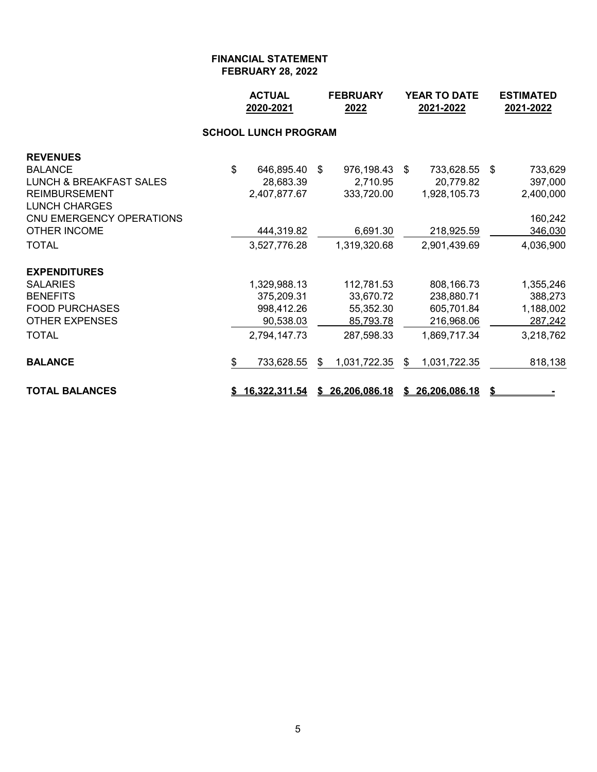|                                    |              | <b>ACTUAL</b><br>2020-2021  |    | <b>FEBRUARY</b><br>2022 | <b>YEAR TO DATE</b><br>2021-2022 |               |    | <b>ESTIMATED</b><br>2021-2022 |
|------------------------------------|--------------|-----------------------------|----|-------------------------|----------------------------------|---------------|----|-------------------------------|
|                                    |              | <b>SCHOOL LUNCH PROGRAM</b> |    |                         |                                  |               |    |                               |
| <b>REVENUES</b>                    |              |                             |    |                         |                                  |               |    |                               |
| BALANCE                            | $\mathbb{S}$ | 646,895.40                  | \$ | 976,198.43              | -\$                              | 733,628.55    | \$ | 733,629                       |
| <b>LUNCH &amp; BREAKFAST SALES</b> |              | 28,683.39                   |    | 2,710.95                |                                  | 20,779.82     |    | 397,000                       |
| <b>REIMBURSEMENT</b>               |              | 2,407,877.67                |    | 333,720.00              |                                  | 1,928,105.73  |    | 2,400,000                     |
| <b>LUNCH CHARGES</b>               |              |                             |    |                         |                                  |               |    |                               |
| CNU EMERGENCY OPERATIONS           |              |                             |    |                         |                                  |               |    | 160,242                       |
| <b>OTHER INCOME</b>                |              | 444,319.82                  |    | 6,691.30                |                                  | 218,925.59    |    | 346,030                       |
| <b>TOTAL</b>                       |              | 3,527,776.28                |    | 1,319,320.68            |                                  | 2,901,439.69  |    | 4,036,900                     |
| <b>EXPENDITURES</b>                |              |                             |    |                         |                                  |               |    |                               |
| <b>SALARIES</b>                    |              | 1,329,988.13                |    | 112,781.53              |                                  | 808,166.73    |    | 1,355,246                     |
| <b>BENEFITS</b>                    |              | 375,209.31                  |    | 33,670.72               |                                  | 238,880.71    |    | 388,273                       |
| <b>FOOD PURCHASES</b>              |              | 998,412.26                  |    | 55,352.30               |                                  | 605,701.84    |    | 1,188,002                     |
| <b>OTHER EXPENSES</b>              |              | 90,538.03                   |    | 85,793.78               |                                  | 216,968.06    |    | 287,242                       |
| TOTAL                              |              | 2,794,147.73                |    | 287,598.33              |                                  | 1,869,717.34  |    | 3,218,762                     |
| <b>BALANCE</b>                     | \$           | 733,628.55                  | S. | 1,031,722.35            | S.                               | 1,031,722.35  |    | 818,138                       |
| <b>TOTAL BALANCES</b>              |              | <u>16,322,311.54</u>        |    | \$26,206,086.18         | S.                               | 26,206,086.18 | \$ |                               |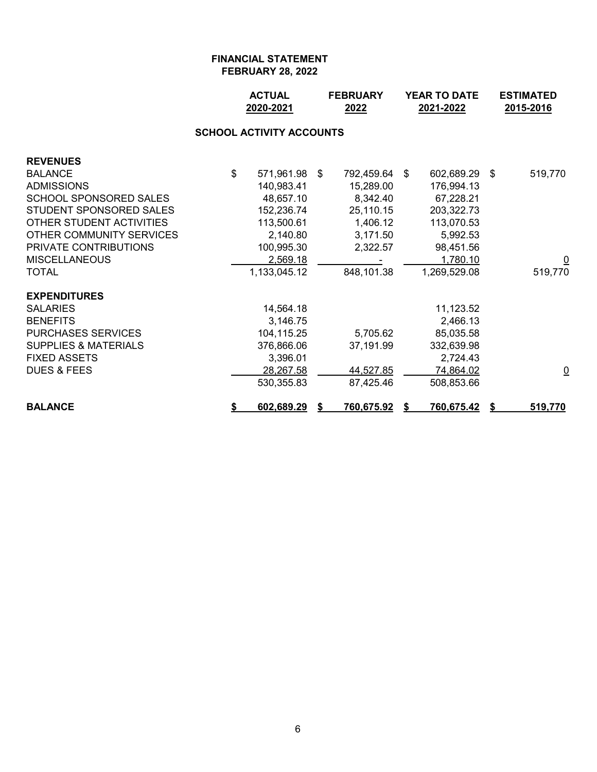|                                 |    | <b>ACTUAL</b><br><b>FEBRUARY</b><br>2020-2021<br>2022 |  |            | <b>YEAR TO DATE</b><br>2021-2022 |                   |     | <b>ESTIMATED</b><br>2015-2016 |  |  |  |  |  |
|---------------------------------|----|-------------------------------------------------------|--|------------|----------------------------------|-------------------|-----|-------------------------------|--|--|--|--|--|
| <b>SCHOOL ACTIVITY ACCOUNTS</b> |    |                                                       |  |            |                                  |                   |     |                               |  |  |  |  |  |
| <b>REVENUES</b>                 |    |                                                       |  |            |                                  |                   |     |                               |  |  |  |  |  |
| <b>BALANCE</b>                  | \$ | 571,961.98 \$                                         |  | 792,459.64 | -\$                              | 602,689.29        | -\$ | 519,770                       |  |  |  |  |  |
| <b>ADMISSIONS</b>               |    | 140,983.41                                            |  | 15,289.00  |                                  | 176,994.13        |     |                               |  |  |  |  |  |
| <b>SCHOOL SPONSORED SALES</b>   |    | 48,657.10                                             |  | 8,342.40   |                                  | 67,228.21         |     |                               |  |  |  |  |  |
| STUDENT SPONSORED SALES         |    | 152,236.74                                            |  | 25,110.15  |                                  | 203,322.73        |     |                               |  |  |  |  |  |
| OTHER STUDENT ACTIVITIES        |    | 113,500.61                                            |  | 1,406.12   |                                  | 113,070.53        |     |                               |  |  |  |  |  |
| OTHER COMMUNITY SERVICES        |    | 2,140.80                                              |  | 3,171.50   |                                  | 5,992.53          |     |                               |  |  |  |  |  |
| PRIVATE CONTRIBUTIONS           |    | 100,995.30                                            |  | 2,322.57   |                                  | 98,451.56         |     |                               |  |  |  |  |  |
| <b>MISCELLANEOUS</b>            |    | 2,569.18                                              |  |            |                                  | 1,780.10          |     |                               |  |  |  |  |  |
| <b>TOTAL</b>                    |    | 1,133,045.12                                          |  | 848,101.38 |                                  | 1,269,529.08      |     | 519,770                       |  |  |  |  |  |
| <b>EXPENDITURES</b>             |    |                                                       |  |            |                                  |                   |     |                               |  |  |  |  |  |
| <b>SALARIES</b>                 |    | 14,564.18                                             |  |            |                                  | 11,123.52         |     |                               |  |  |  |  |  |
| <b>BENEFITS</b>                 |    | 3,146.75                                              |  |            |                                  | 2,466.13          |     |                               |  |  |  |  |  |
| <b>PURCHASES SERVICES</b>       |    | 104,115.25                                            |  | 5,705.62   |                                  | 85,035.58         |     |                               |  |  |  |  |  |
| <b>SUPPLIES &amp; MATERIALS</b> |    | 376,866.06                                            |  | 37,191.99  |                                  | 332,639.98        |     |                               |  |  |  |  |  |
| <b>FIXED ASSETS</b>             |    | 3,396.01                                              |  |            |                                  | 2,724.43          |     |                               |  |  |  |  |  |
| <b>DUES &amp; FEES</b>          |    | 28,267.58                                             |  | 44,527.85  |                                  | 74,864.02         |     | $\overline{\mathsf{C}}$       |  |  |  |  |  |
|                                 |    | 530,355.83                                            |  | 87,425.46  |                                  | 508,853.66        |     |                               |  |  |  |  |  |
| <b>BALANCE</b>                  | \$ | 602,689.29                                            |  | 760,675.92 | \$                               | <u>760,675.42</u> |     | 519,770                       |  |  |  |  |  |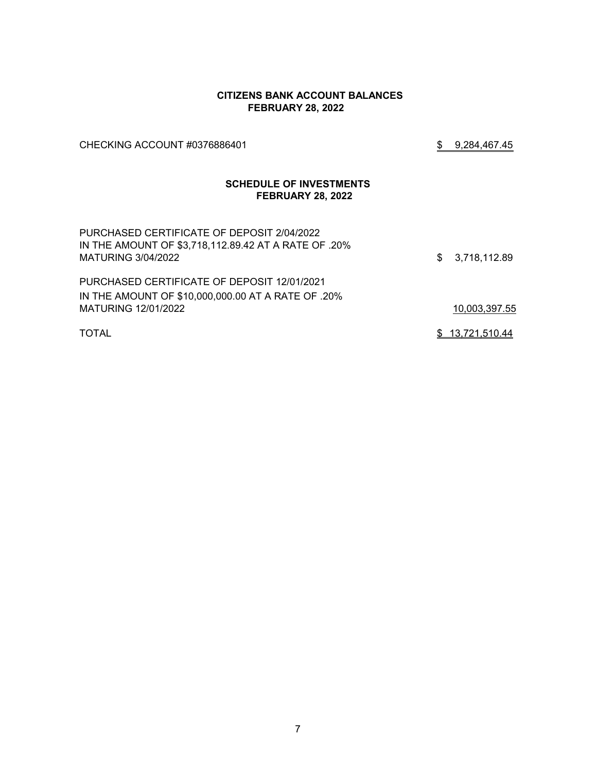#### **CITIZENS BANK ACCOUNT BALANCES FEBRUARY 28, 2022**

CHECKING ACCOUNT #0376886401 \$ 9,284,467.45

# **SCHEDULE OF INVESTMENTS FEBRUARY 28, 2022**

| PURCHASED CERTIFICATE OF DEPOSIT 2/04/2022<br>IN THE AMOUNT OF \$3,718,112.89.42 AT A RATE OF .20%<br>MATURING 3/04/2022 | \$3,718,112.89  |
|--------------------------------------------------------------------------------------------------------------------------|-----------------|
| PURCHASED CERTIFICATE OF DEPOSIT 12/01/2021                                                                              |                 |
| IN THE AMOUNT OF \$10,000,000.00 AT A RATE OF .20%                                                                       |                 |
| MATURING 12/01/2022                                                                                                      | 10,003,397.55   |
| <b>TOTAL</b>                                                                                                             | \$13,721,510.44 |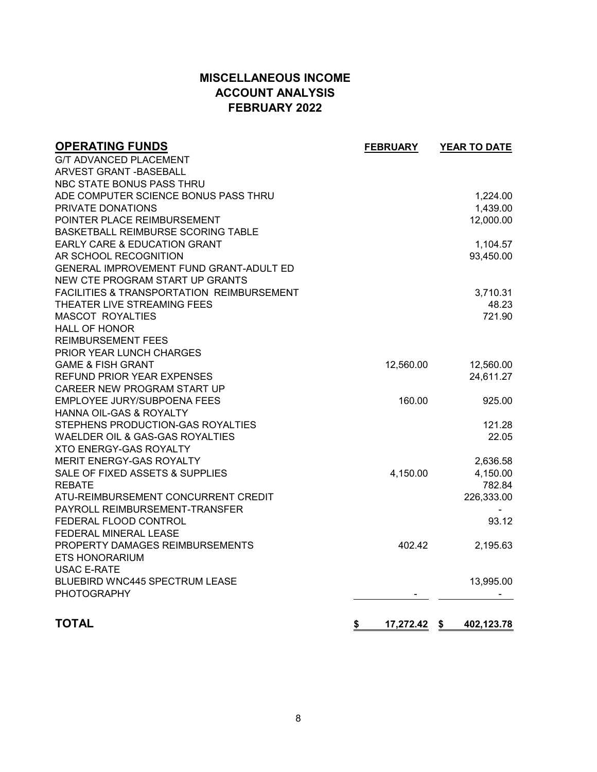# **MISCELLANEOUS INCOME ACCOUNT ANALYSIS FEBRUARY 2022**

| <b>OPERATING FUNDS</b>                               | <b>FEBRUARY</b>    | YEAR TO DATE |
|------------------------------------------------------|--------------------|--------------|
| <b>G/T ADVANCED PLACEMENT</b>                        |                    |              |
| <b>ARVEST GRANT - BASEBALL</b>                       |                    |              |
| NBC STATE BONUS PASS THRU                            |                    |              |
| ADE COMPUTER SCIENCE BONUS PASS THRU                 |                    | 1,224.00     |
| PRIVATE DONATIONS                                    |                    | 1,439.00     |
| POINTER PLACE REIMBURSEMENT                          |                    | 12,000.00    |
| BASKETBALL REIMBURSE SCORING TABLE                   |                    |              |
| <b>EARLY CARE &amp; EDUCATION GRANT</b>              |                    | 1,104.57     |
| AR SCHOOL RECOGNITION                                |                    | 93,450.00    |
| GENERAL IMPROVEMENT FUND GRANT-ADULT ED              |                    |              |
| NEW CTE PROGRAM START UP GRANTS                      |                    |              |
| <b>FACILITIES &amp; TRANSPORTATION REIMBURSEMENT</b> |                    | 3,710.31     |
| THEATER LIVE STREAMING FEES                          |                    | 48.23        |
| <b>MASCOT ROYALTIES</b>                              |                    | 721.90       |
| <b>HALL OF HONOR</b>                                 |                    |              |
| <b>REIMBURSEMENT FEES</b>                            |                    |              |
| PRIOR YEAR LUNCH CHARGES                             |                    |              |
| <b>GAME &amp; FISH GRANT</b>                         | 12,560.00          | 12,560.00    |
| REFUND PRIOR YEAR EXPENSES                           |                    | 24,611.27    |
| CAREER NEW PROGRAM START UP                          |                    |              |
| EMPLOYEE JURY/SUBPOENA FEES                          | 160.00             | 925.00       |
| HANNA OIL-GAS & ROYALTY                              |                    |              |
| STEPHENS PRODUCTION-GAS ROYALTIES                    |                    | 121.28       |
| WAELDER OIL & GAS-GAS ROYALTIES                      |                    | 22.05        |
| <b>XTO ENERGY-GAS ROYALTY</b>                        |                    |              |
| MERIT ENERGY-GAS ROYALTY                             |                    | 2,636.58     |
| SALE OF FIXED ASSETS & SUPPLIES                      | 4,150.00           | 4,150.00     |
| <b>REBATE</b>                                        |                    | 782.84       |
| ATU-REIMBURSEMENT CONCURRENT CREDIT                  |                    | 226,333.00   |
| PAYROLL REIMBURSEMENT-TRANSFER                       |                    |              |
| FEDERAL FLOOD CONTROL                                |                    | 93.12        |
| FEDERAL MINERAL LEASE                                |                    |              |
| PROPERTY DAMAGES REIMBURSEMENTS                      | 402.42             | 2,195.63     |
| <b>ETS HONORARIUM</b>                                |                    |              |
| <b>USAC E-RATE</b>                                   |                    |              |
| BLUEBIRD WNC445 SPECTRUM LEASE                       |                    | 13,995.00    |
| <b>PHOTOGRAPHY</b>                                   |                    |              |
| <b>TOTAL</b>                                         | \$<br>17,272.42 \$ | 402,123.78   |
|                                                      |                    |              |